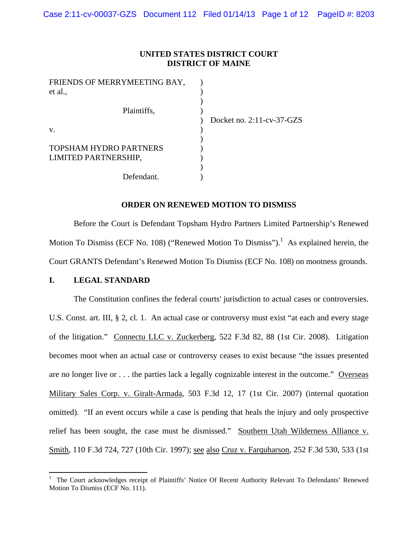## **UNITED STATES DISTRICT COURT DISTRICT OF MAINE**

| FRIENDS OF MERRYMEETING BAY,  |                              |
|-------------------------------|------------------------------|
| et al.,                       |                              |
|                               |                              |
| Plaintiffs,                   |                              |
|                               | Docket no. $2:11$ -cv-37-GZS |
| V.                            |                              |
|                               |                              |
| <b>TOPSHAM HYDRO PARTNERS</b> |                              |
| LIMITED PARTNERSHIP,          |                              |
|                               |                              |
| Defendant.                    |                              |

### **ORDER ON RENEWED MOTION TO DISMISS**

Before the Court is Defendant Topsham Hydro Partners Limited Partnership's Renewed Motion To Dismiss (ECF No. 108) ("Renewed Motion To Dismiss").<sup>1</sup> As explained herein, the Court GRANTS Defendant's Renewed Motion To Dismiss (ECF No. 108) on mootness grounds.

### **I. LEGAL STANDARD**

The Constitution confines the federal courts' jurisdiction to actual cases or controversies. U.S. Const. art. III, § 2, cl. 1. An actual case or controversy must exist "at each and every stage of the litigation." Connectu LLC v. Zuckerberg*,* 522 F.3d 82, 88 (1st Cir. 2008). Litigation becomes moot when an actual case or controversy ceases to exist because "the issues presented are no longer live or . . . the parties lack a legally cognizable interest in the outcome." Overseas Military Sales Corp. v. Giralt-Armada*,* 503 F.3d 12, 17 (1st Cir. 2007) (internal quotation omitted). "If an event occurs while a case is pending that heals the injury and only prospective relief has been sought, the case must be dismissed." Southern Utah Wilderness Alliance v. Smith, 110 F.3d 724, 727 (10th Cir. 1997); see also Cruz v. Farquharson*,* 252 F.3d 530, 533 (1st

<sup>1</sup> The Court acknowledges receipt of Plaintiffs' Notice Of Recent Authority Relevant To Defendants' Renewed Motion To Dismiss (ECF No. 111).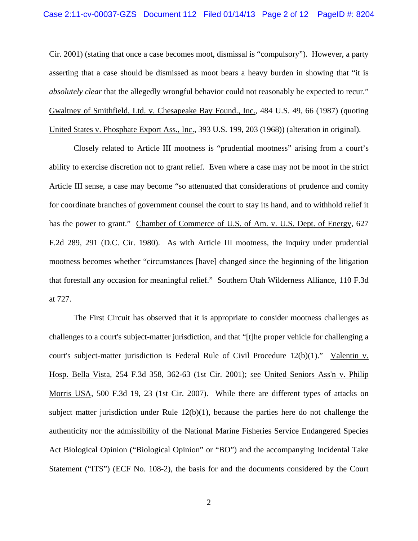Cir. 2001) (stating that once a case becomes moot, dismissal is "compulsory"). However, a party asserting that a case should be dismissed as moot bears a heavy burden in showing that "it is *absolutely clear* that the allegedly wrongful behavior could not reasonably be expected to recur." Gwaltney of Smithfield, Ltd. v. Chesapeake Bay Found., Inc., 484 U.S. 49, 66 (1987) (quoting United States v. Phosphate Export Ass., Inc., 393 U.S. 199, 203 (1968)) (alteration in original).

Closely related to Article III mootness is "prudential mootness" arising from a court's ability to exercise discretion not to grant relief. Even where a case may not be moot in the strict Article III sense, a case may become "so attenuated that considerations of prudence and comity for coordinate branches of government counsel the court to stay its hand, and to withhold relief it has the power to grant." Chamber of Commerce of U.S. of Am. v. U.S. Dept. of Energy, 627 F.2d 289, 291 (D.C. Cir. 1980). As with Article III mootness, the inquiry under prudential mootness becomes whether "circumstances [have] changed since the beginning of the litigation that forestall any occasion for meaningful relief." Southern Utah Wilderness Alliance, 110 F.3d at 727.

The First Circuit has observed that it is appropriate to consider mootness challenges as challenges to a court's subject-matter jurisdiction, and that "[t]he proper vehicle for challenging a court's subject-matter jurisdiction is Federal Rule of Civil Procedure 12(b)(1)." Valentin v. Hosp. Bella Vista*,* 254 F.3d 358, 362-63 (1st Cir. 2001); see United Seniors Ass'n v. Philip Morris USA*,* 500 F.3d 19, 23 (1st Cir. 2007). While there are different types of attacks on subject matter jurisdiction under Rule  $12(b)(1)$ , because the parties here do not challenge the authenticity nor the admissibility of the National Marine Fisheries Service Endangered Species Act Biological Opinion ("Biological Opinion" or "BO") and the accompanying Incidental Take Statement ("ITS") (ECF No. 108-2), the basis for and the documents considered by the Court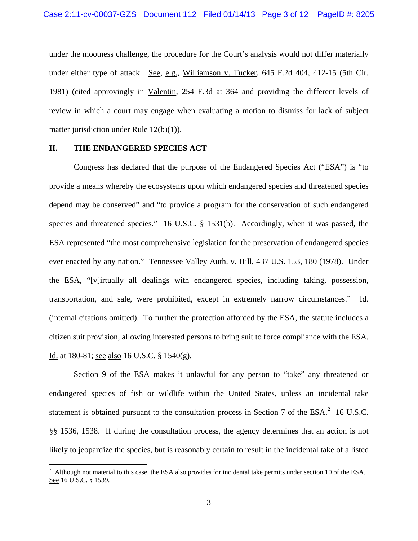under the mootness challenge, the procedure for the Court's analysis would not differ materially under either type of attack. See, e.g., Williamson v. Tucker, 645 F.2d 404, 412-15 (5th Cir. 1981) (cited approvingly in Valentin, 254 F.3d at 364 and providing the different levels of review in which a court may engage when evaluating a motion to dismiss for lack of subject matter jurisdiction under Rule 12(b)(1)).

## **II. THE ENDANGERED SPECIES ACT**

 Congress has declared that the purpose of the Endangered Species Act ("ESA") is "to provide a means whereby the ecosystems upon which endangered species and threatened species depend may be conserved" and "to provide a program for the conservation of such endangered species and threatened species." 16 U.S.C. § 1531(b). Accordingly, when it was passed, the ESA represented "the most comprehensive legislation for the preservation of endangered species ever enacted by any nation." Tennessee Valley Auth. v. Hill, 437 U.S. 153, 180 (1978). Under the ESA, "[v]irtually all dealings with endangered species, including taking, possession, transportation, and sale, were prohibited, except in extremely narrow circumstances." Id. (internal citations omitted). To further the protection afforded by the ESA, the statute includes a citizen suit provision, allowing interested persons to bring suit to force compliance with the ESA. Id. at 180-81; see also 16 U.S.C. § 1540(g).

 Section 9 of the ESA makes it unlawful for any person to "take" any threatened or endangered species of fish or wildlife within the United States, unless an incidental take statement is obtained pursuant to the consultation process in Section 7 of the  $ESA^2$  16 U.S.C. §§ 1536, 1538. If during the consultation process, the agency determines that an action is not likely to jeopardize the species, but is reasonably certain to result in the incidental take of a listed

<sup>&</sup>lt;sup>2</sup> Although not material to this case, the ESA also provides for incidental take permits under section 10 of the ESA. See 16 U.S.C. § 1539.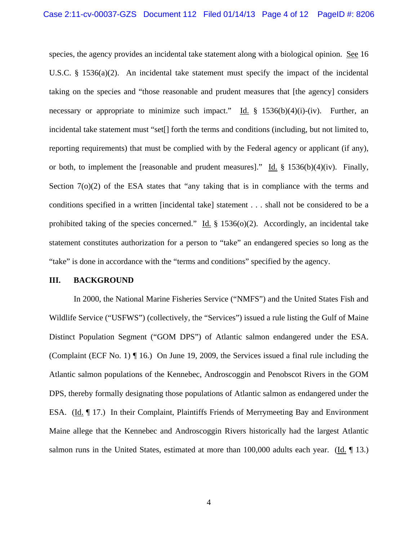species, the agency provides an incidental take statement along with a biological opinion. See 16 U.S.C. § 1536(a)(2). An incidental take statement must specify the impact of the incidental taking on the species and "those reasonable and prudent measures that [the agency] considers necessary or appropriate to minimize such impact." Id. § 1536(b)(4)(i)-(iv). Further, an incidental take statement must "set[] forth the terms and conditions (including, but not limited to, reporting requirements) that must be complied with by the Federal agency or applicant (if any), or both, to implement the [reasonable and prudent measures]." Id. § 1536(b)(4)(iv). Finally, Section 7(o)(2) of the ESA states that "any taking that is in compliance with the terms and conditions specified in a written [incidental take] statement . . . shall not be considered to be a prohibited taking of the species concerned." Id.  $\S$  1536(o)(2). Accordingly, an incidental take statement constitutes authorization for a person to "take" an endangered species so long as the "take" is done in accordance with the "terms and conditions" specified by the agency.

#### **III. BACKGROUND**

In 2000, the National Marine Fisheries Service ("NMFS") and the United States Fish and Wildlife Service ("USFWS") (collectively, the "Services") issued a rule listing the Gulf of Maine Distinct Population Segment ("GOM DPS") of Atlantic salmon endangered under the ESA. (Complaint (ECF No. 1) ¶ 16.) On June 19, 2009, the Services issued a final rule including the Atlantic salmon populations of the Kennebec, Androscoggin and Penobscot Rivers in the GOM DPS, thereby formally designating those populations of Atlantic salmon as endangered under the ESA. (Id. ¶ 17.) In their Complaint, Plaintiffs Friends of Merrymeeting Bay and Environment Maine allege that the Kennebec and Androscoggin Rivers historically had the largest Atlantic salmon runs in the United States, estimated at more than 100,000 adults each year. (Id. 13.)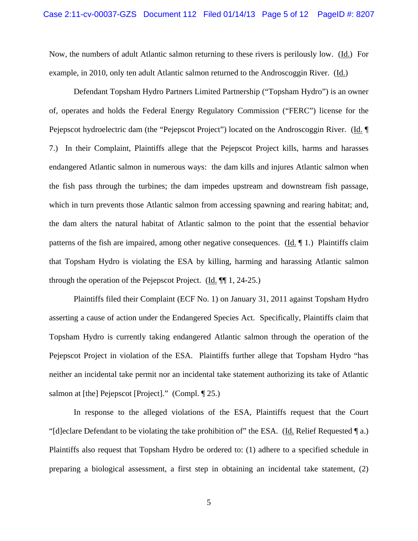Now, the numbers of adult Atlantic salmon returning to these rivers is perilously low. (Id.) For example, in 2010, only ten adult Atlantic salmon returned to the Androscoggin River. (Id.)

Defendant Topsham Hydro Partners Limited Partnership ("Topsham Hydro") is an owner of, operates and holds the Federal Energy Regulatory Commission ("FERC") license for the Pejepscot hydroelectric dam (the "Pejepscot Project") located on the Androscoggin River. (Id. ¶ 7.) In their Complaint, Plaintiffs allege that the Pejepscot Project kills, harms and harasses endangered Atlantic salmon in numerous ways: the dam kills and injures Atlantic salmon when the fish pass through the turbines; the dam impedes upstream and downstream fish passage, which in turn prevents those Atlantic salmon from accessing spawning and rearing habitat; and, the dam alters the natural habitat of Atlantic salmon to the point that the essential behavior patterns of the fish are impaired, among other negative consequences. (Id. ¶ 1.) Plaintiffs claim that Topsham Hydro is violating the ESA by killing, harming and harassing Atlantic salmon through the operation of the Pejepscot Project. (Id.  $\P$  1, 24-25.)

Plaintiffs filed their Complaint (ECF No. 1) on January 31, 2011 against Topsham Hydro asserting a cause of action under the Endangered Species Act. Specifically, Plaintiffs claim that Topsham Hydro is currently taking endangered Atlantic salmon through the operation of the Pejepscot Project in violation of the ESA. Plaintiffs further allege that Topsham Hydro "has neither an incidental take permit nor an incidental take statement authorizing its take of Atlantic salmon at [the] Pejepscot [Project]." (Compl. ¶ 25.)

In response to the alleged violations of the ESA, Plaintiffs request that the Court "[d]eclare Defendant to be violating the take prohibition of" the ESA. (Id. Relief Requested  $\P$  a.) Plaintiffs also request that Topsham Hydro be ordered to: (1) adhere to a specified schedule in preparing a biological assessment, a first step in obtaining an incidental take statement, (2)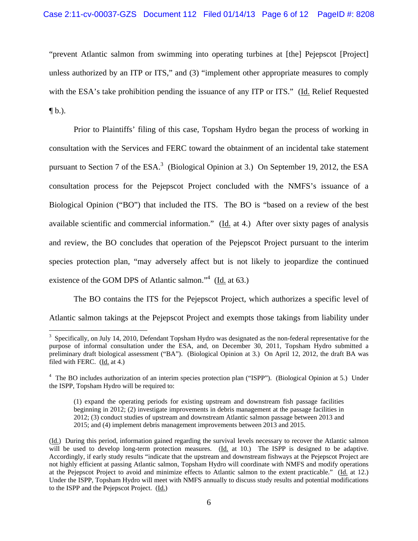"prevent Atlantic salmon from swimming into operating turbines at [the] Pejepscot [Project] unless authorized by an ITP or ITS," and (3) "implement other appropriate measures to comply with the ESA's take prohibition pending the issuance of any ITP or ITS." (Id. Relief Requested  $\P b.$ ).

 Prior to Plaintiffs' filing of this case, Topsham Hydro began the process of working in consultation with the Services and FERC toward the obtainment of an incidental take statement pursuant to Section 7 of the  $ESA^3$  (Biological Opinion at 3.) On September 19, 2012, the ESA consultation process for the Pejepscot Project concluded with the NMFS's issuance of a Biological Opinion ("BO") that included the ITS. The BO is "based on a review of the best available scientific and commercial information." (Id. at 4.) After over sixty pages of analysis and review, the BO concludes that operation of the Pejepscot Project pursuant to the interim species protection plan, "may adversely affect but is not likely to jeopardize the continued existence of the GOM DPS of Atlantic salmon."<sup>4</sup> ( $\underline{Id}$  at 63.)

The BO contains the ITS for the Pejepscot Project, which authorizes a specific level of Atlantic salmon takings at the Pejepscot Project and exempts those takings from liability under

 $3$  Specifically, on July 14, 2010, Defendant Topsham Hydro was designated as the non-federal representative for the purpose of informal consultation under the ESA, and, on December 30, 2011, Topsham Hydro submitted a preliminary draft biological assessment ("BA"). (Biological Opinion at 3.) On April 12, 2012, the draft BA was filed with FERC. (Id. at 4.)

<sup>&</sup>lt;sup>4</sup> The BO includes authorization of an interim species protection plan ("ISPP"). (Biological Opinion at 5.) Under the ISPP, Topsham Hydro will be required to:

<sup>(1)</sup> expand the operating periods for existing upstream and downstream fish passage facilities beginning in 2012; (2) investigate improvements in debris management at the passage facilities in 2012; (3) conduct studies of upstream and downstream Atlantic salmon passage between 2013 and 2015; and (4) implement debris management improvements between 2013 and 2015.

<sup>(</sup>Id.) During this period, information gained regarding the survival levels necessary to recover the Atlantic salmon will be used to develop long-term protection measures. (Id. at 10.) The ISPP is designed to be adaptive. Accordingly, if early study results "indicate that the upstream and downstream fishways at the Pejepscot Project are not highly efficient at passing Atlantic salmon, Topsham Hydro will coordinate with NMFS and modify operations at the Pejepscot Project to avoid and minimize effects to Atlantic salmon to the extent practicable." (Id. at 12.) Under the ISPP, Topsham Hydro will meet with NMFS annually to discuss study results and potential modifications to the ISPP and the Pejepscot Project. (Id.)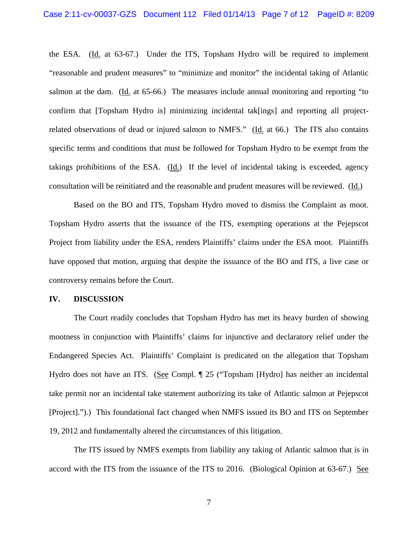the ESA. (Id. at 63-67.) Under the ITS, Topsham Hydro will be required to implement "reasonable and prudent measures" to "minimize and monitor" the incidental taking of Atlantic salmon at the dam. (Id. at 65-66.) The measures include annual monitoring and reporting "to confirm that [Topsham Hydro is] minimizing incidental tak[ings] and reporting all projectrelated observations of dead or injured salmon to NMFS." (Id. at 66.) The ITS also contains specific terms and conditions that must be followed for Topsham Hydro to be exempt from the takings prohibitions of the ESA. (Id.) If the level of incidental taking is exceeded, agency consultation will be reinitiated and the reasonable and prudent measures will be reviewed. (Id.)

 Based on the BO and ITS, Topsham Hydro moved to dismiss the Complaint as moot. Topsham Hydro asserts that the issuance of the ITS, exempting operations at the Pejepscot Project from liability under the ESA, renders Plaintiffs' claims under the ESA moot. Plaintiffs have opposed that motion, arguing that despite the issuance of the BO and ITS, a live case or controversy remains before the Court.

## **IV. DISCUSSION**

 The Court readily concludes that Topsham Hydro has met its heavy burden of showing mootness in conjunction with Plaintiffs' claims for injunctive and declaratory relief under the Endangered Species Act. Plaintiffs' Complaint is predicated on the allegation that Topsham Hydro does not have an ITS. (See Compl. ¶ 25 ("Topsham [Hydro] has neither an incidental take permit nor an incidental take statement authorizing its take of Atlantic salmon at Pejepscot [Project].").) This foundational fact changed when NMFS issued its BO and ITS on September 19, 2012 and fundamentally altered the circumstances of this litigation.

The ITS issued by NMFS exempts from liability any taking of Atlantic salmon that is in accord with the ITS from the issuance of the ITS to 2016. (Biological Opinion at 63-67.) See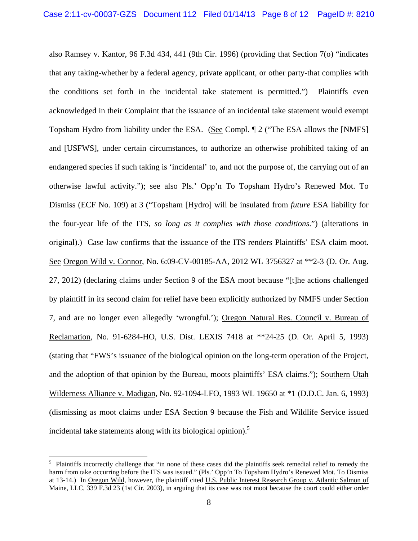also Ramsey v. Kantor, 96 F.3d 434, 441 (9th Cir. 1996) (providing that Section 7(o) "indicates that any taking-whether by a federal agency, private applicant, or other party-that complies with the conditions set forth in the incidental take statement is permitted.") Plaintiffs even acknowledged in their Complaint that the issuance of an incidental take statement would exempt Topsham Hydro from liability under the ESA. (See Compl. ¶ 2 ("The ESA allows the [NMFS] and [USFWS], under certain circumstances, to authorize an otherwise prohibited taking of an endangered species if such taking is 'incidental' to, and not the purpose of, the carrying out of an otherwise lawful activity."); see also Pls.' Opp'n To Topsham Hydro's Renewed Mot. To Dismiss (ECF No. 109) at 3 ("Topsham [Hydro] will be insulated from *future* ESA liability for the four-year life of the ITS, *so long as it complies with those conditions*.") (alterations in original).) Case law confirms that the issuance of the ITS renders Plaintiffs' ESA claim moot. See Oregon Wild v. Connor, No. 6:09-CV-00185-AA, 2012 WL 3756327 at \*\*2-3 (D. Or. Aug. 27, 2012) (declaring claims under Section 9 of the ESA moot because "[t]he actions challenged by plaintiff in its second claim for relief have been explicitly authorized by NMFS under Section 7, and are no longer even allegedly 'wrongful.'); Oregon Natural Res. Council v. Bureau of Reclamation, No. 91-6284-HO, U.S. Dist. LEXIS 7418 at \*\*24-25 (D. Or. April 5, 1993) (stating that "FWS's issuance of the biological opinion on the long-term operation of the Project, and the adoption of that opinion by the Bureau, moots plaintiffs' ESA claims."); Southern Utah Wilderness Alliance v. Madigan, No. 92-1094-LFO, 1993 WL 19650 at \*1 (D.D.C. Jan. 6, 1993) (dismissing as moot claims under ESA Section 9 because the Fish and Wildlife Service issued incidental take statements along with its biological opinion).<sup>5</sup>

<sup>&</sup>lt;sup>5</sup> Plaintiffs incorrectly challenge that "in none of these cases did the plaintiffs seek remedial relief to remedy the harm from take occurring before the ITS was issued." (Pls.' Opp'n To Topsham Hydro's Renewed Mot. To Dismiss at 13-14.) In Oregon Wild, however, the plaintiff cited U.S. Public Interest Research Group v. Atlantic Salmon of Maine, LLC, 339 F.3d 23 (1st Cir. 2003), in arguing that its case was not moot because the court could either order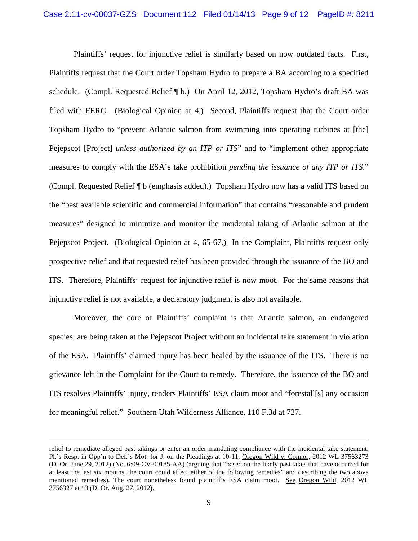Plaintiffs' request for injunctive relief is similarly based on now outdated facts. First, Plaintiffs request that the Court order Topsham Hydro to prepare a BA according to a specified schedule. (Compl. Requested Relief ¶ b.) On April 12, 2012, Topsham Hydro's draft BA was filed with FERC. (Biological Opinion at 4.) Second, Plaintiffs request that the Court order Topsham Hydro to "prevent Atlantic salmon from swimming into operating turbines at [the] Pejepscot [Project] *unless authorized by an ITP or ITS*" and to "implement other appropriate measures to comply with the ESA's take prohibition *pending the issuance of any ITP or ITS*." (Compl. Requested Relief ¶ b (emphasis added).) Topsham Hydro now has a valid ITS based on the "best available scientific and commercial information" that contains "reasonable and prudent measures" designed to minimize and monitor the incidental taking of Atlantic salmon at the Pejepscot Project. (Biological Opinion at 4, 65-67.) In the Complaint, Plaintiffs request only prospective relief and that requested relief has been provided through the issuance of the BO and ITS. Therefore, Plaintiffs' request for injunctive relief is now moot. For the same reasons that injunctive relief is not available, a declaratory judgment is also not available.

 Moreover, the core of Plaintiffs' complaint is that Atlantic salmon, an endangered species, are being taken at the Pejepscot Project without an incidental take statement in violation of the ESA. Plaintiffs' claimed injury has been healed by the issuance of the ITS. There is no grievance left in the Complaint for the Court to remedy. Therefore, the issuance of the BO and ITS resolves Plaintiffs' injury, renders Plaintiffs' ESA claim moot and "forestall[s] any occasion for meaningful relief." Southern Utah Wilderness Alliance, 110 F.3d at 727.

<u> 1989 - Johann Stein, marwolaethau a gweledydd a ganlad y ganlad y ganlad y ganlad y ganlad y ganlad y ganlad</u>

relief to remediate alleged past takings or enter an order mandating compliance with the incidental take statement. Pl.'s Resp. in Opp'n to Def.'s Mot. for J. on the Pleadings at 10-11, Oregon Wild v. Connor, 2012 WL 37563273 (D. Or. June 29, 2012) (No. 6:09-CV-00185-AA) (arguing that "based on the likely past takes that have occurred for at least the last six months, the court could effect either of the following remedies" and describing the two above mentioned remedies). The court nonetheless found plaintiff's ESA claim moot. See Oregon Wild, 2012 WL 3756327 at \*3 (D. Or. Aug. 27, 2012).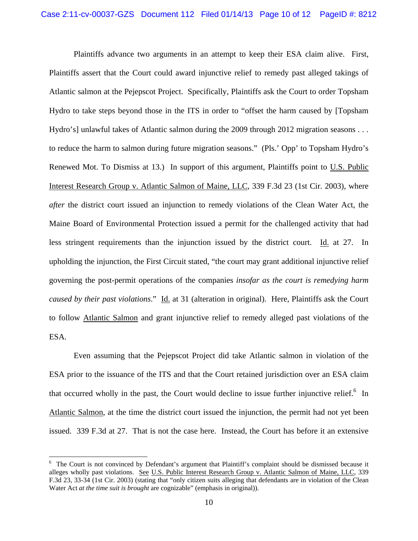Plaintiffs advance two arguments in an attempt to keep their ESA claim alive. First, Plaintiffs assert that the Court could award injunctive relief to remedy past alleged takings of Atlantic salmon at the Pejepscot Project. Specifically, Plaintiffs ask the Court to order Topsham Hydro to take steps beyond those in the ITS in order to "offset the harm caused by [Topsham Hydro's] unlawful takes of Atlantic salmon during the 2009 through 2012 migration seasons . . . to reduce the harm to salmon during future migration seasons." (Pls.' Opp' to Topsham Hydro's Renewed Mot. To Dismiss at 13.) In support of this argument, Plaintiffs point to U.S. Public Interest Research Group v. Atlantic Salmon of Maine, LLC, 339 F.3d 23 (1st Cir. 2003), where *after* the district court issued an injunction to remedy violations of the Clean Water Act, the Maine Board of Environmental Protection issued a permit for the challenged activity that had less stringent requirements than the injunction issued by the district court. Id. at 27. In upholding the injunction, the First Circuit stated, "the court may grant additional injunctive relief governing the post-permit operations of the companies *insofar as the court is remedying harm caused by their past violations*." Id. at 31 (alteration in original). Here, Plaintiffs ask the Court to follow Atlantic Salmon and grant injunctive relief to remedy alleged past violations of the ESA.

 Even assuming that the Pejepscot Project did take Atlantic salmon in violation of the ESA prior to the issuance of the ITS and that the Court retained jurisdiction over an ESA claim that occurred wholly in the past, the Court would decline to issue further injunctive relief. $6$  In Atlantic Salmon, at the time the district court issued the injunction, the permit had not yet been issued. 339 F.3d at 27. That is not the case here. Instead, the Court has before it an extensive

<sup>&</sup>lt;sup>6</sup> The Court is not convinced by Defendant's argument that Plaintiff's complaint should be dismissed because it alleges wholly past violations. See U.S. Public Interest Research Group v. Atlantic Salmon of Maine, LLC, 339 F.3d 23, 33-34 (1st Cir. 2003) (stating that "only citizen suits alleging that defendants are in violation of the Clean Water Act *at the time suit is brought* are cognizable" (emphasis in original)).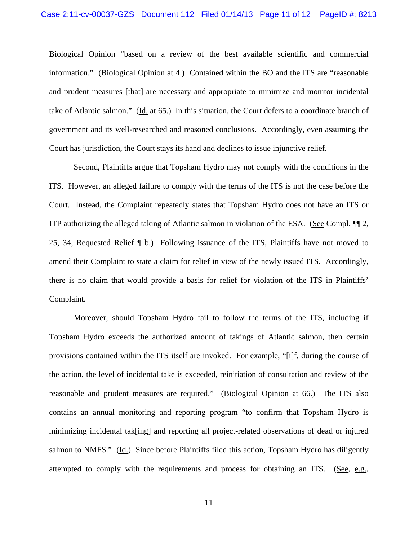Biological Opinion "based on a review of the best available scientific and commercial information." (Biological Opinion at 4.) Contained within the BO and the ITS are "reasonable and prudent measures [that] are necessary and appropriate to minimize and monitor incidental take of Atlantic salmon." (Id. at 65.) In this situation, the Court defers to a coordinate branch of government and its well-researched and reasoned conclusions. Accordingly, even assuming the Court has jurisdiction, the Court stays its hand and declines to issue injunctive relief.

 Second, Plaintiffs argue that Topsham Hydro may not comply with the conditions in the ITS. However, an alleged failure to comply with the terms of the ITS is not the case before the Court. Instead, the Complaint repeatedly states that Topsham Hydro does not have an ITS or ITP authorizing the alleged taking of Atlantic salmon in violation of the ESA. (See Compl. ¶¶ 2, 25, 34, Requested Relief ¶ b.) Following issuance of the ITS, Plaintiffs have not moved to amend their Complaint to state a claim for relief in view of the newly issued ITS. Accordingly, there is no claim that would provide a basis for relief for violation of the ITS in Plaintiffs' Complaint.

 Moreover, should Topsham Hydro fail to follow the terms of the ITS, including if Topsham Hydro exceeds the authorized amount of takings of Atlantic salmon, then certain provisions contained within the ITS itself are invoked. For example, "[i]f, during the course of the action, the level of incidental take is exceeded, reinitiation of consultation and review of the reasonable and prudent measures are required." (Biological Opinion at 66.) The ITS also contains an annual monitoring and reporting program "to confirm that Topsham Hydro is minimizing incidental tak[ing] and reporting all project-related observations of dead or injured salmon to NMFS." (Id.) Since before Plaintiffs filed this action, Topsham Hydro has diligently attempted to comply with the requirements and process for obtaining an ITS. (See, e.g.,